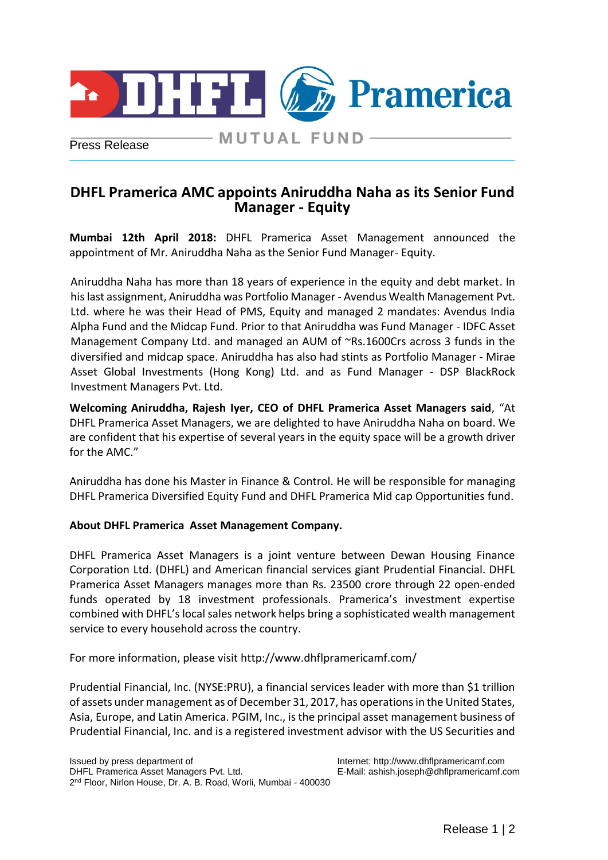

Press Release

# **MUTUAL FUND-**

# **DHFL Pramerica AMC appoints Aniruddha Naha as its Senior Fund Manager - Equity**

**Mumbai 12th April 2018:** DHFL Pramerica Asset Management announced the appointment of Mr. Aniruddha Naha as the Senior Fund Manager- Equity.

Aniruddha Naha has more than 18 years of experience in the equity and debt market. In his last assignment, Aniruddha was Portfolio Manager - Avendus Wealth Management Pvt. Ltd. where he was their Head of PMS, Equity and managed 2 mandates: Avendus India Alpha Fund and the Midcap Fund. Prior to that Aniruddha was Fund Manager - IDFC Asset Management Company Ltd. and managed an AUM of ~Rs.1600Crs across 3 funds in the diversified and midcap space. Aniruddha has also had stints as Portfolio Manager - Mirae Asset Global Investments (Hong Kong) Ltd. and as Fund Manager - DSP BlackRock Investment Managers Pvt. Ltd.

**Welcoming Aniruddha, Rajesh Iyer, CEO of DHFL Pramerica Asset Managers said**, "At DHFL Pramerica Asset Managers, we are delighted to have Aniruddha Naha on board. We are confident that his expertise of several years in the equity space will be a growth driver for the AMC."

Aniruddha has done his Master in Finance & Control. He will be responsible for managing DHFL Pramerica Diversified Equity Fund and DHFL Pramerica Mid cap Opportunities fund.

#### **About DHFL Pramerica Asset Management Company.**

DHFL Pramerica Asset Managers is a joint venture between Dewan Housing Finance Corporation Ltd. (DHFL) and American financial services giant Prudential Financial. DHFL Pramerica Asset Managers manages more than Rs. 23500 crore through 22 open-ended funds operated by 18 investment professionals. Pramerica's investment expertise combined with DHFL's local sales network helps bring a sophisticated wealth management service to every household across the country.

For more information, please visit<http://www.dhflpramericamf.com/>

Prudential Financial, Inc. (NYSE:PRU), a financial services leader with more than \$1 trillion of assets under management as of December 31, 2017, has operations in the United States, Asia, Europe, and Latin America. PGIM, Inc., is the principal asset management business of Prudential Financial, Inc. and is a registered investment advisor with the US Securities and